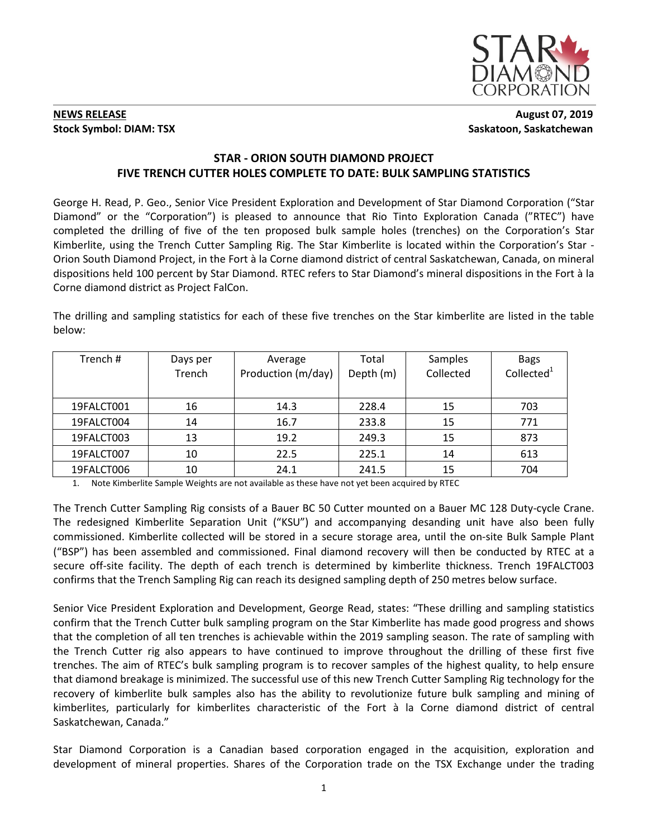

## **NEWS RELEASE** August 07, 2019 **Stock Symbol: DIAM: TSX** Saskatoon, Saskatchewan

# **STAR - ORION SOUTH DIAMOND PROJECT FIVE TRENCH CUTTER HOLES COMPLETE TO DATE: BULK SAMPLING STATISTICS**

George H. Read, P. Geo., Senior Vice President Exploration and Development of Star Diamond Corporation ("Star Diamond" or the "Corporation") is pleased to announce that Rio Tinto Exploration Canada ("RTEC") have completed the drilling of five of the ten proposed bulk sample holes (trenches) on the Corporation's Star Kimberlite, using the Trench Cutter Sampling Rig. The Star Kimberlite is located within the Corporation's Star - Orion South Diamond Project, in the Fort à la Corne diamond district of central Saskatchewan, Canada, on mineral dispositions held 100 percent by Star Diamond. RTEC refers to Star Diamond's mineral dispositions in the Fort à la Corne diamond district as Project FalCon.

The drilling and sampling statistics for each of these five trenches on the Star kimberlite are listed in the table below:

| Trench #   | Days per<br>Trench | Average<br>Production (m/day) | Total<br>Depth (m) | <b>Samples</b><br>Collected | <b>Bags</b><br>Collected <sup>1</sup> |
|------------|--------------------|-------------------------------|--------------------|-----------------------------|---------------------------------------|
| 19FALCT001 | 16                 | 14.3                          | 228.4              | 15                          | 703                                   |
| 19FALCT004 | 14                 | 16.7                          | 233.8              | 15                          | 771                                   |
| 19FALCT003 | 13                 | 19.2                          | 249.3              | 15                          | 873                                   |
| 19FALCT007 | 10                 | 22.5                          | 225.1              | 14                          | 613                                   |
| 19FALCT006 | 10                 | 24.1                          | 241.5              | 15                          | 704                                   |

1. Note Kimberlite Sample Weights are not available as these have not yet been acquired by RTEC

The Trench Cutter Sampling Rig consists of a Bauer BC 50 Cutter mounted on a Bauer MC 128 Duty-cycle Crane. The redesigned Kimberlite Separation Unit ("KSU") and accompanying desanding unit have also been fully commissioned. Kimberlite collected will be stored in a secure storage area, until the on-site Bulk Sample Plant ("BSP") has been assembled and commissioned. Final diamond recovery will then be conducted by RTEC at a secure off-site facility. The depth of each trench is determined by kimberlite thickness. Trench 19FALCT003 confirms that the Trench Sampling Rig can reach its designed sampling depth of 250 metres below surface.

Senior Vice President Exploration and Development, George Read, states: "These drilling and sampling statistics confirm that the Trench Cutter bulk sampling program on the Star Kimberlite has made good progress and shows that the completion of all ten trenches is achievable within the 2019 sampling season. The rate of sampling with the Trench Cutter rig also appears to have continued to improve throughout the drilling of these first five trenches. The aim of RTEC's bulk sampling program is to recover samples of the highest quality, to help ensure that diamond breakage is minimized. The successful use of this new Trench Cutter Sampling Rig technology for the recovery of kimberlite bulk samples also has the ability to revolutionize future bulk sampling and mining of kimberlites, particularly for kimberlites characteristic of the Fort à la Corne diamond district of central Saskatchewan, Canada."

Star Diamond Corporation is a Canadian based corporation engaged in the acquisition, exploration and development of mineral properties. Shares of the Corporation trade on the TSX Exchange under the trading